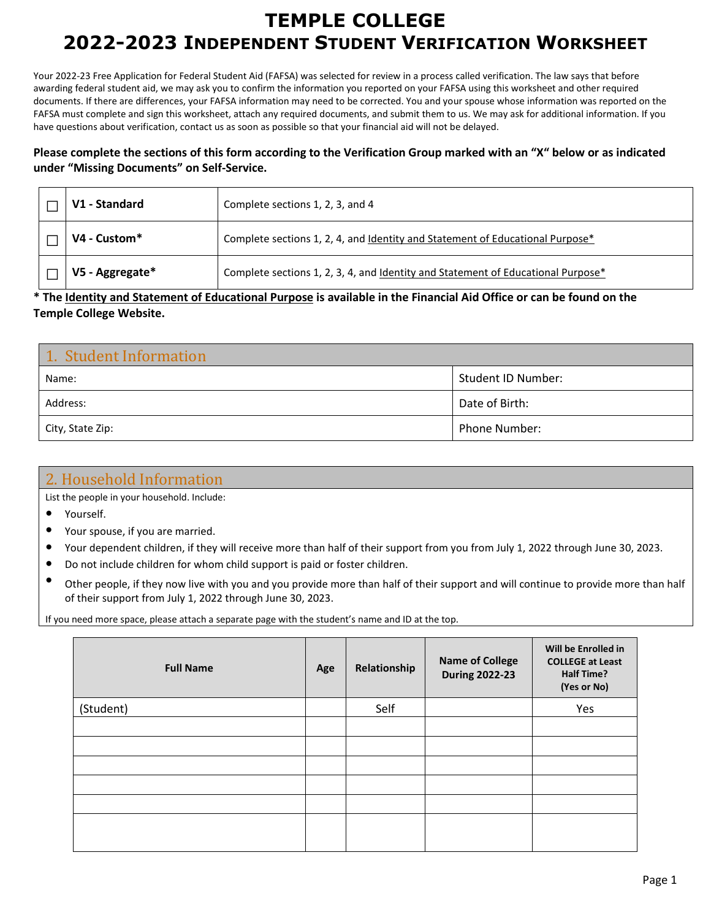# **TEMPLE COLLEGE 2022-2023 INDEPENDENT STUDENT VERIFICATION WORKSHEET**

Your 2022-23 Free Application for Federal Student Aid (FAFSA) was selected for review in a process called verification. The law says that before awarding federal student aid, we may ask you to confirm the information you reported on your FAFSA using this worksheet and other required documents. If there are differences, your FAFSA information may need to be corrected. You and your spouse whose information was reported on the FAFSA must complete and sign this worksheet, attach any required documents, and submit them to us. We may ask for additional information. If you have questions about verification, contact us as soon as possible so that your financial aid will not be delayed.

#### **Please complete the sections of this form according to the Verification Group marked with an "X" below or as indicated under "Missing Documents" on Self-Service.**

| V1 - Standard   | Complete sections 1, 2, 3, and 4                                                 |
|-----------------|----------------------------------------------------------------------------------|
| V4 - Custom*    | Complete sections 1, 2, 4, and Identity and Statement of Educational Purpose*    |
| V5 - Aggregate* | Complete sections 1, 2, 3, 4, and Identity and Statement of Educational Purpose* |

#### **\* The Identity and Statement of Educational Purpose is available in the Financial Aid Office or can be found on the Temple College Website.**

| 1. Student Information |                      |  |
|------------------------|----------------------|--|
| Name:                  | Student ID Number:   |  |
| Address:               | Date of Birth:       |  |
| City, State Zip:       | <b>Phone Number:</b> |  |

### 2. Household Information

List the people in your household. Include:

- Yourself.
- Your spouse, if you are married.
- Your dependent children, if they will receive more than half of their support from you from July 1, 2022 through June 30, 2023.
- Do not include children for whom child support is paid or foster children.
- Other people, if they now live with you and you provide more than half of their support and will continue to provide more than half of their support from July 1, 2022 through June 30, 2023.

If you need more space, please attach a separate page with the student's name and ID at the top.

| <b>Full Name</b> | Age | Relationship | <b>Name of College</b><br><b>During 2022-23</b> | Will be Enrolled in<br><b>COLLEGE at Least</b><br><b>Half Time?</b><br>(Yes or No) |
|------------------|-----|--------------|-------------------------------------------------|------------------------------------------------------------------------------------|
| (Student)        |     | Self         |                                                 | Yes                                                                                |
|                  |     |              |                                                 |                                                                                    |
|                  |     |              |                                                 |                                                                                    |
|                  |     |              |                                                 |                                                                                    |
|                  |     |              |                                                 |                                                                                    |
|                  |     |              |                                                 |                                                                                    |
|                  |     |              |                                                 |                                                                                    |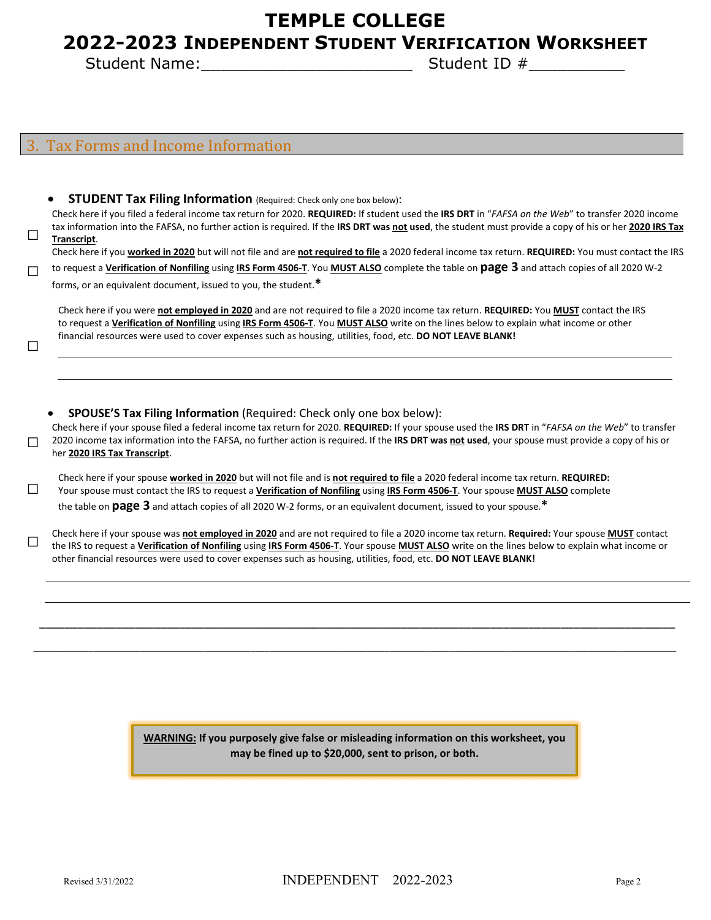## **TEMPLE COLLEGE**

## **2022-2023 INDEPENDENT STUDENT VERIFICATION WORKSHEET**

Student Name:\_\_\_\_\_\_\_\_\_\_\_\_\_\_\_\_\_\_\_\_\_\_ Student ID #\_\_\_\_\_\_\_\_\_\_

#### Tax Forms and Income Information

□

□

**STUDENT Tax Filing Information** (Required: Check only one box below):

Check here if you filed a federal income tax return for 2020. **REQUIRED:** If student used the **IRS DRT** in "*FAFSA on the Web*" to transfer 2020 income tax information into the FAFSA, no further action is required. If the **IRS DRT was not used**, the student must provide a copy of his or her **2020 IRS Tax Transcript**.

Check here if you **worked in 2020** but will not file and are **not required to file** a 2020 federal income tax return. **REQUIRED:** You must contact the IRS

□ to request a **Verification of Nonfiling** using **IRS Form 4506-T**. You **MUST ALSO** complete the table on **page 3** and attach copies of all 2020 W-2 forms, or an equivalent document, issued to you, the student.**\***

Check here if you were **not employed in 2020** and are not required to file a 2020 income tax return. **REQUIRED:** You **MUST** contact the IRS to request a **Verification of Nonfiling** using **IRS Form 4506-T**. You **MUST ALSO** write on the lines below to explain what income or other financial resources were used to cover expenses such as housing, utilities, food, etc. **DO NOT LEAVE BLANK!**

• **SPOUSE'S Tax Filing Information** (Required: Check only one box below):

□ Check here if your spouse filed a federal income tax return for 2020. **REQUIRED:** If your spouse used the **IRS DRT** in "*FAFSA on the Web*" to transfer 2020 income tax information into the FAFSA, no further action is required. If the **IRS DRT was not used**, your spouse must provide a copy of his or her **2020 IRS Tax Transcript**.

□ Check here if your spouse **worked in 2020** but will not file and is **not required to file** a 2020 federal income tax return. **REQUIRED:**  Your spouse must contact the IRS to request a **Verification of Nonfiling** using **IRS Form 4506-T**. Your spouse **MUST ALSO** complete the table on **page 3** and attach copies of all 2020 W-2 forms, or an equivalent document, issued to your spouse.**\***

Check here if your spouse was not employed in 2020 and are not required to file a 2020 income tax return. Required: Your spouse **MUST** contact<br>The IRS to request a Verification of Nonfiling using IRS Form 4506-T. Your spo other financial resources were used to cover expenses such as housing, utilities, food, etc. **DO NOT LEAVE BLANK!**

\_\_\_\_\_\_\_\_\_\_\_\_\_\_\_\_\_\_\_\_\_\_\_\_\_\_\_\_\_\_\_\_\_\_\_\_\_\_\_\_\_\_\_\_\_\_\_\_\_\_\_\_\_\_\_\_\_\_\_\_\_\_\_\_\_\_\_\_\_\_\_\_\_\_\_\_\_\_\_\_\_\_\_\_\_\_\_\_\_\_\_\_\_\_\_\_\_\_\_\_

\_\_\_\_\_\_\_\_\_\_\_\_\_\_\_\_\_\_\_\_\_\_\_\_\_\_\_\_\_\_\_\_\_\_\_\_\_\_\_\_\_\_\_\_\_\_\_\_\_\_\_\_\_\_\_\_\_\_\_\_\_\_\_\_\_\_\_\_\_\_\_\_\_\_\_\_\_\_\_\_\_\_\_\_\_\_\_\_\_\_\_\_\_\_\_\_\_\_\_\_\_\_\_\_\_\_\_\_\_\_\_\_\_\_\_\_\_\_\_\_\_\_\_\_\_\_\_\_\_\_\_\_\_\_\_\_\_\_\_

**WARNING: If you purposely give false or misleading information on this worksheet, you may be fined up to \$20,000, sent to prison, or both.**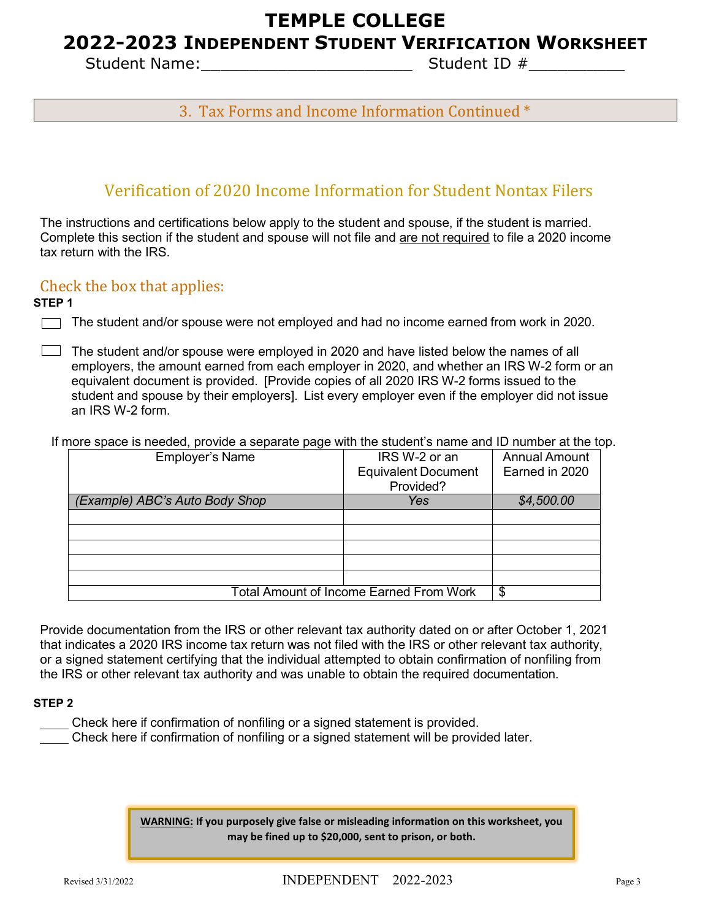### **TEMPLE COLLEGE**

### **2022-2023 INDEPENDENT STUDENT VERIFICATION WORKSHEET**

Student Name:\_\_\_\_\_\_\_\_\_\_\_\_\_\_\_\_\_\_\_\_\_\_ Student ID #\_\_\_\_\_\_\_\_\_\_

### 3. Tax Forms and Income Information Continued \*

### Verification of 2020 Income Information for Student Nontax Filers

The instructions and certifications below apply to the student and spouse, if the student is married. Complete this section if the student and spouse will not file and are not required to file a 2020 income tax return with the IRS.

#### Check the box that applies:

**STEP 1**

- The student and/or spouse were not employed and had no income earned from work in 2020.
- $\Box$  The student and/or spouse were employed in 2020 and have listed below the names of all employers, the amount earned from each employer in 2020, and whether an IRS W-2 form or an equivalent document is provided. [Provide copies of all 2020 IRS W-2 forms issued to the student and spouse by their employers]. List every employer even if the employer did not issue an IRS W-2 form.
	- If more space is needed, provide a separate page with the student's name and ID number at the top.

| <b>Employer's Name</b>                         | IRS W-2 or an              | <b>Annual Amount</b> |
|------------------------------------------------|----------------------------|----------------------|
|                                                | <b>Equivalent Document</b> | Earned in 2020       |
|                                                | Provided?                  |                      |
| (Example) ABC's Auto Body Shop                 | Yes                        | \$4,500.00           |
|                                                |                            |                      |
|                                                |                            |                      |
|                                                |                            |                      |
|                                                |                            |                      |
|                                                |                            |                      |
| <b>Total Amount of Income Earned From Work</b> | \$                         |                      |

Provide documentation from the IRS or other relevant tax authority dated on or after October 1, 2021 that indicates a 2020 IRS income tax return was not filed with the IRS or other relevant tax authority, or a signed statement certifying that the individual attempted to obtain confirmation of nonfiling from the IRS or other relevant tax authority and was unable to obtain the required documentation.

#### **STEP 2**

- Check here if confirmation of nonfiling or a signed statement is provided.
- Check here if confirmation of nonfiling or a signed statement will be provided later.

**WARNING: If you purposely give false or misleading information on this worksheet, you may be fined up to \$20,000, sent to prison, or both.**